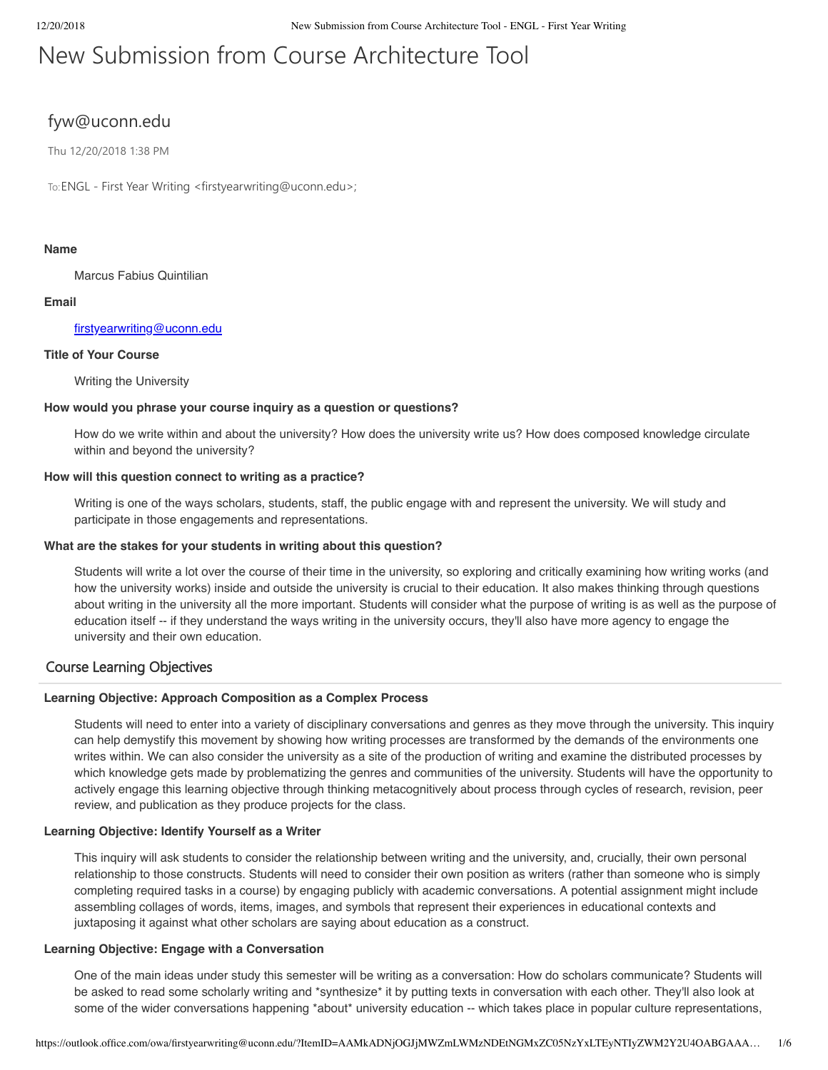# New Submission from Course Architecture Tool

# fyw@uconn.edu

Thu 12/20/2018 1:38 PM

To: ENGL - First Year Writing <firstyearwriting@uconn.edu>;

# **Name**

Marcus Fabius Quintilian

# **Email**

# [firstyearwriting@uconn.edu](mailto:firstyearwriting@uconn.edu)

# **Title of Your Course**

Writing the University

# **How would you phrase your course inquiry as a question or questions?**

How do we write within and about the university? How does the university write us? How does composed knowledge circulate within and beyond the university?

# **How will this question connect to writing as a practice?**

Writing is one of the ways scholars, students, staff, the public engage with and represent the university. We will study and participate in those engagements and representations.

# **What are the stakes for your students in writing about this question?**

Students will write a lot over the course of their time in the university, so exploring and critically examining how writing works (and how the university works) inside and outside the university is crucial to their education. It also makes thinking through questions about writing in the university all the more important. Students will consider what the purpose of writing is as well as the purpose of education itself -- if they understand the ways writing in the university occurs, they'll also have more agency to engage the university and their own education.

# Course Learning Objectives

#### **Learning Objective: Approach Composition as a Complex Process**

Students will need to enter into a variety of disciplinary conversations and genres as they move through the university. This inquiry can help demystify this movement by showing how writing processes are transformed by the demands of the environments one writes within. We can also consider the university as a site of the production of writing and examine the distributed processes by which knowledge gets made by problematizing the genres and communities of the university. Students will have the opportunity to actively engage this learning objective through thinking metacognitively about process through cycles of research, revision, peer review, and publication as they produce projects for the class.

# **Learning Objective: Identify Yourself as a Writer**

This inquiry will ask students to consider the relationship between writing and the university, and, crucially, their own personal relationship to those constructs. Students will need to consider their own position as writers (rather than someone who is simply completing required tasks in a course) by engaging publicly with academic conversations. A potential assignment might include assembling collages of words, items, images, and symbols that represent their experiences in educational contexts and juxtaposing it against what other scholars are saying about education as a construct.

#### **Learning Objective: Engage with a Conversation**

One of the main ideas under study this semester will be writing as a conversation: How do scholars communicate? Students will be asked to read some scholarly writing and \*synthesize\* it by putting texts in conversation with each other. They'll also look at some of the wider conversations happening \*about\* university education -- which takes place in popular culture representations,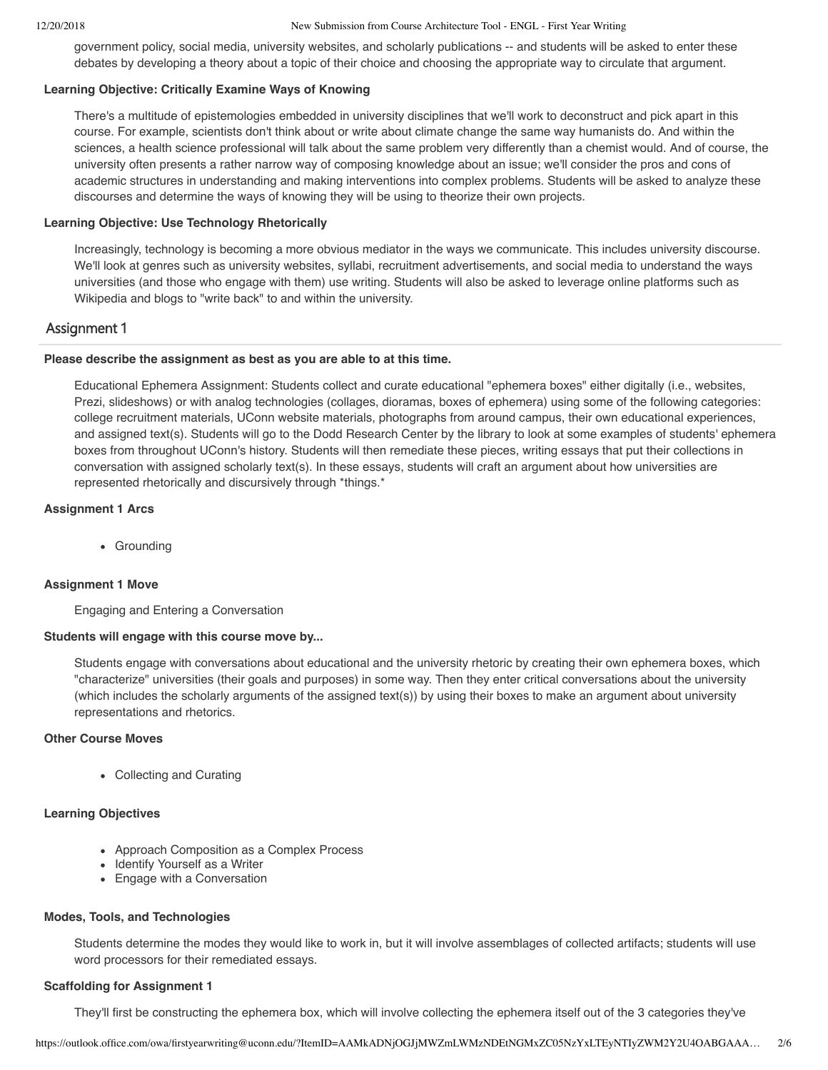government policy, social media, university websites, and scholarly publications -- and students will be asked to enter these debates by developing a theory about a topic of their choice and choosing the appropriate way to circulate that argument.

#### **Learning Objective: Critically Examine Ways of Knowing**

There's a multitude of epistemologies embedded in university disciplines that we'll work to deconstruct and pick apart in this course. For example, scientists don't think about or write about climate change the same way humanists do. And within the sciences, a health science professional will talk about the same problem very differently than a chemist would. And of course, the university often presents a rather narrow way of composing knowledge about an issue; we'll consider the pros and cons of academic structures in understanding and making interventions into complex problems. Students will be asked to analyze these discourses and determine the ways of knowing they will be using to theorize their own projects.

#### **Learning Objective: Use Technology Rhetorically**

Increasingly, technology is becoming a more obvious mediator in the ways we communicate. This includes university discourse. We'll look at genres such as university websites, syllabi, recruitment advertisements, and social media to understand the ways universities (and those who engage with them) use writing. Students will also be asked to leverage online platforms such as Wikipedia and blogs to "write back" to and within the university.

# Assignment 1

# **Please describe the assignment as best as you are able to at this time.**

Educational Ephemera Assignment: Students collect and curate educational "ephemera boxes" either digitally (i.e., websites, Prezi, slideshows) or with analog technologies (collages, dioramas, boxes of ephemera) using some of the following categories: college recruitment materials, UConn website materials, photographs from around campus, their own educational experiences, and assigned text(s). Students will go to the Dodd Research Center by the library to look at some examples of students' ephemera boxes from throughout UConn's history. Students will then remediate these pieces, writing essays that put their collections in conversation with assigned scholarly text(s). In these essays, students will craft an argument about how universities are represented rhetorically and discursively through \*things.\*

# **Assignment 1 Arcs**

• Groundina

# **Assignment 1 Move**

Engaging and Entering a Conversation

#### **Students will engage with this course move by...**

Students engage with conversations about educational and the university rhetoric by creating their own ephemera boxes, which "characterize" universities (their goals and purposes) in some way. Then they enter critical conversations about the university (which includes the scholarly arguments of the assigned text(s)) by using their boxes to make an argument about university representations and rhetorics.

# **Other Course Moves**

Collecting and Curating

# **Learning Objectives**

- Approach Composition as a Complex Process
- Identify Yourself as a Writer
- Engage with a Conversation

#### **Modes, Tools, and Technologies**

Students determine the modes they would like to work in, but it will involve assemblages of collected artifacts; students will use word processors for their remediated essays.

#### **Scaffolding for Assignment 1**

They'll first be constructing the ephemera box, which will involve collecting the ephemera itself out of the 3 categories they've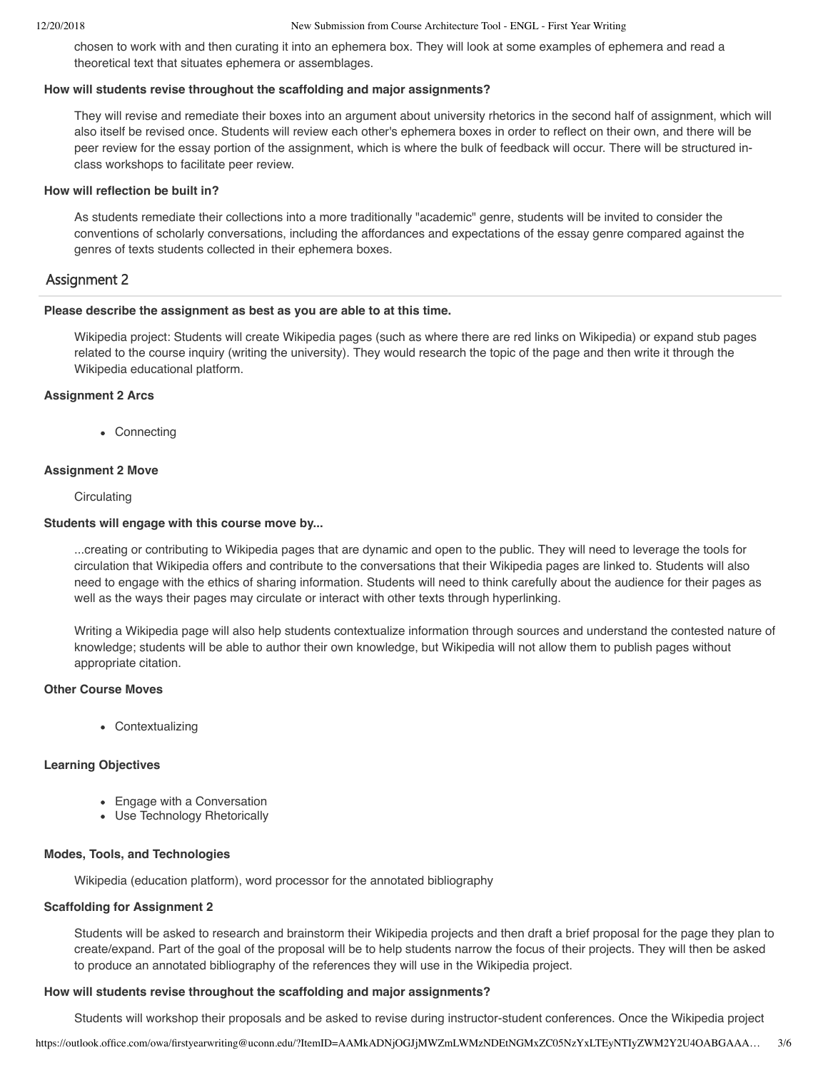chosen to work with and then curating it into an ephemera box. They will look at some examples of ephemera and read a theoretical text that situates ephemera or assemblages.

#### **How will students revise throughout the scaffolding and major assignments?**

They will revise and remediate their boxes into an argument about university rhetorics in the second half of assignment, which will also itself be revised once. Students will review each other's ephemera boxes in order to reflect on their own, and there will be peer review for the essay portion of the assignment, which is where the bulk of feedback will occur. There will be structured inclass workshops to facilitate peer review.

# **How will reflection be built in?**

As students remediate their collections into a more traditionally "academic" genre, students will be invited to consider the conventions of scholarly conversations, including the affordances and expectations of the essay genre compared against the genres of texts students collected in their ephemera boxes.

# Assignment 2

#### **Please describe the assignment as best as you are able to at this time.**

Wikipedia project: Students will create Wikipedia pages (such as where there are red links on Wikipedia) or expand stub pages related to the course inquiry (writing the university). They would research the topic of the page and then write it through the Wikipedia educational platform.

# **Assignment 2 Arcs**

• Connecting

# **Assignment 2 Move**

**Circulating** 

# **Students will engage with this course move by...**

...creating or contributing to Wikipedia pages that are dynamic and open to the public. They will need to leverage the tools for circulation that Wikipedia offers and contribute to the conversations that their Wikipedia pages are linked to. Students will also need to engage with the ethics of sharing information. Students will need to think carefully about the audience for their pages as well as the ways their pages may circulate or interact with other texts through hyperlinking.

Writing a Wikipedia page will also help students contextualize information through sources and understand the contested nature of knowledge; students will be able to author their own knowledge, but Wikipedia will not allow them to publish pages without appropriate citation.

# **Other Course Moves**

Contextualizing

# **Learning Objectives**

- Engage with a Conversation
- Use Technology Rhetorically

# **Modes, Tools, and Technologies**

Wikipedia (education platform), word processor for the annotated bibliography

# **Scaffolding for Assignment 2**

Students will be asked to research and brainstorm their Wikipedia projects and then draft a brief proposal for the page they plan to create/expand. Part of the goal of the proposal will be to help students narrow the focus of their projects. They will then be asked to produce an annotated bibliography of the references they will use in the Wikipedia project.

#### **How will students revise throughout the scaffolding and major assignments?**

Students will workshop their proposals and be asked to revise during instructor-student conferences. Once the Wikipedia project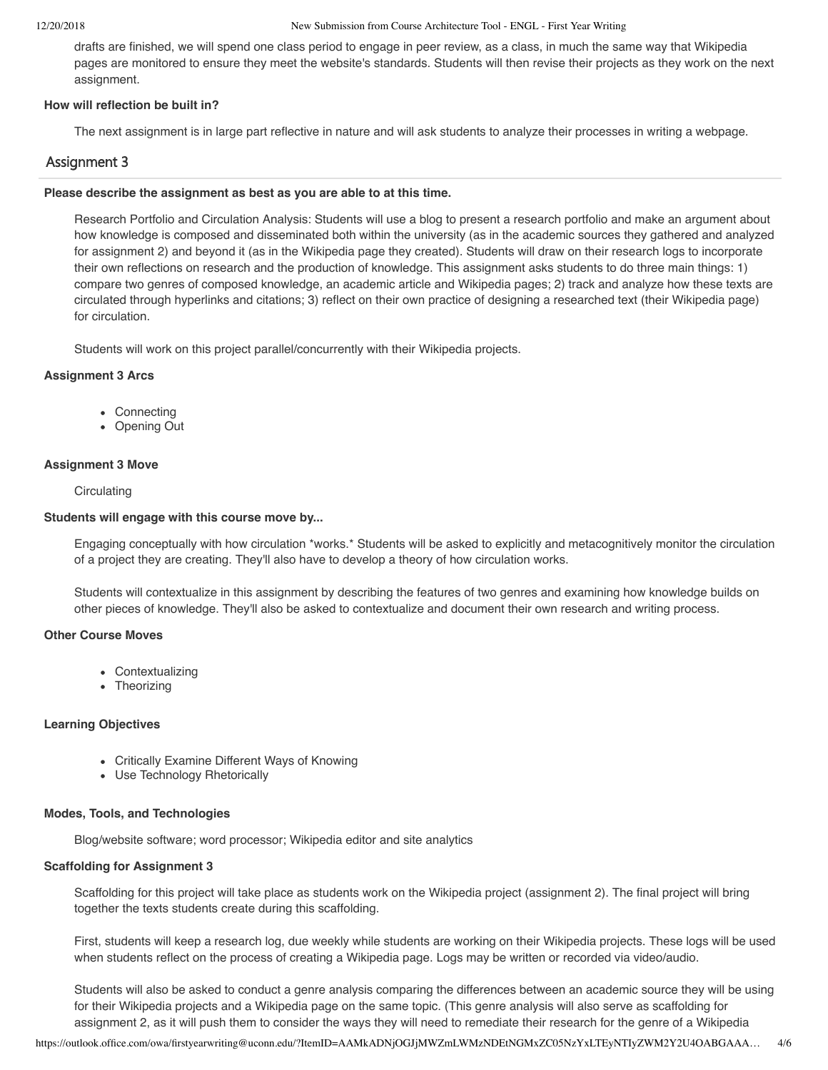drafts are finished, we will spend one class period to engage in peer review, as a class, in much the same way that Wikipedia pages are monitored to ensure they meet the website's standards. Students will then revise their projects as they work on the next assignment.

# **How will reflection be built in?**

The next assignment is in large part reflective in nature and will ask students to analyze their processes in writing a webpage.

# Assignment 3

# **Please describe the assignment as best as you are able to at this time.**

Research Portfolio and Circulation Analysis: Students will use a blog to present a research portfolio and make an argument about how knowledge is composed and disseminated both within the university (as in the academic sources they gathered and analyzed for assignment 2) and beyond it (as in the Wikipedia page they created). Students will draw on their research logs to incorporate their own reflections on research and the production of knowledge. This assignment asks students to do three main things: 1) compare two genres of composed knowledge, an academic article and Wikipedia pages; 2) track and analyze how these texts are circulated through hyperlinks and citations; 3) reflect on their own practice of designing a researched text (their Wikipedia page) for circulation.

Students will work on this project parallel/concurrently with their Wikipedia projects.

# **Assignment 3 Arcs**

- Connecting
- Opening Out

# **Assignment 3 Move**

**Circulating** 

# **Students will engage with this course move by...**

Engaging conceptually with how circulation \*works.\* Students will be asked to explicitly and metacognitively monitor the circulation of a project they are creating. They'll also have to develop a theory of how circulation works.

Students will contextualize in this assignment by describing the features of two genres and examining how knowledge builds on other pieces of knowledge. They'll also be asked to contextualize and document their own research and writing process.

# **Other Course Moves**

- Contextualizing
- Theorizing

# **Learning Objectives**

- Critically Examine Different Ways of Knowing
- Use Technology Rhetorically

# **Modes, Tools, and Technologies**

Blog/website software; word processor; Wikipedia editor and site analytics

# **Scaffolding for Assignment 3**

Scaffolding for this project will take place as students work on the Wikipedia project (assignment 2). The final project will bring together the texts students create during this scaffolding.

First, students will keep a research log, due weekly while students are working on their Wikipedia projects. These logs will be used when students reflect on the process of creating a Wikipedia page. Logs may be written or recorded via video/audio.

Students will also be asked to conduct a genre analysis comparing the differences between an academic source they will be using for their Wikipedia projects and a Wikipedia page on the same topic. (This genre analysis will also serve as scaffolding for assignment 2, as it will push them to consider the ways they will need to remediate their research for the genre of a Wikipedia

https://outlook.office.com/owa/firstyearwriting@uconn.edu/?ItemID=AAMkADNjOGJjMWZmLWMzNDEtNGMxZC05NzYxLTEyNTIyZWM2Y2U4OABGAAA… 4/6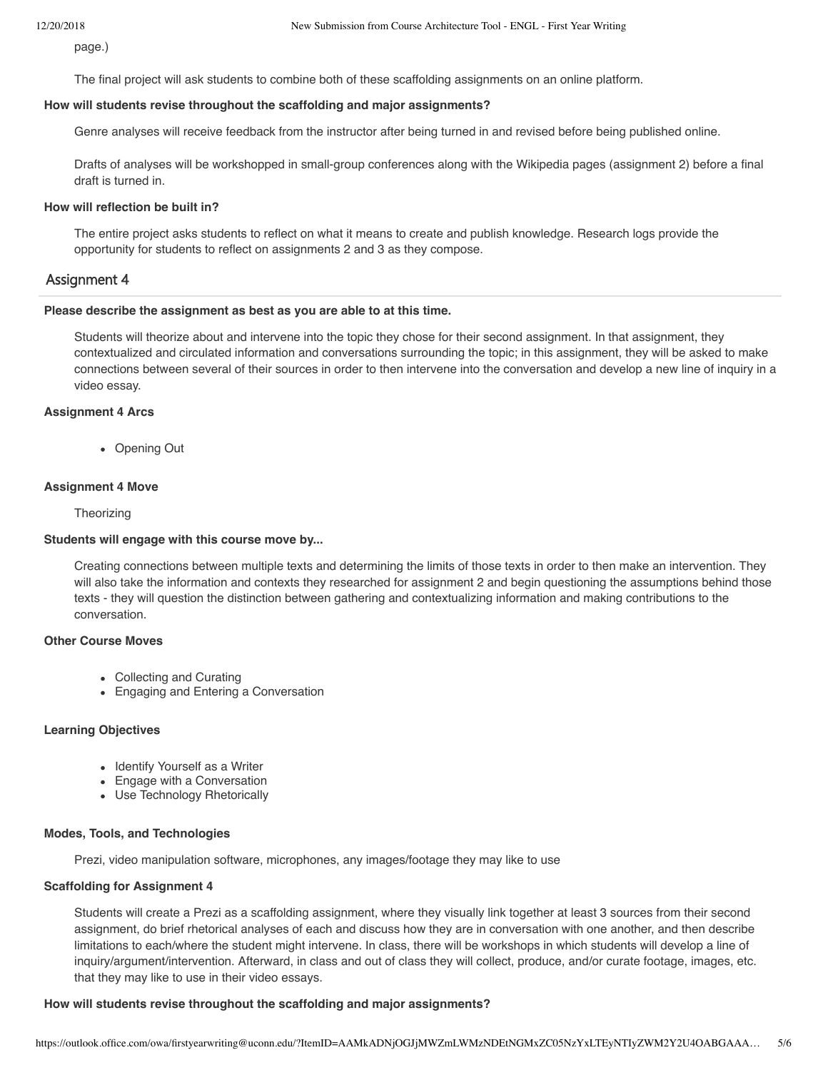page.)

The final project will ask students to combine both of these scaffolding assignments on an online platform.

# **How will students revise throughout the scaffolding and major assignments?**

Genre analyses will receive feedback from the instructor after being turned in and revised before being published online.

Drafts of analyses will be workshopped in small-group conferences along with the Wikipedia pages (assignment 2) before a final draft is turned in.

#### **How will reflection be built in?**

The entire project asks students to reflect on what it means to create and publish knowledge. Research logs provide the opportunity for students to reflect on assignments 2 and 3 as they compose.

# Assignment 4

#### **Please describe the assignment as best as you are able to at this time.**

Students will theorize about and intervene into the topic they chose for their second assignment. In that assignment, they contextualized and circulated information and conversations surrounding the topic; in this assignment, they will be asked to make connections between several of their sources in order to then intervene into the conversation and develop a new line of inquiry in a video essay.

# **Assignment 4 Arcs**

• Opening Out

# **Assignment 4 Move**

**Theorizing** 

#### **Students will engage with this course move by...**

Creating connections between multiple texts and determining the limits of those texts in order to then make an intervention. They will also take the information and contexts they researched for assignment 2 and begin questioning the assumptions behind those texts - they will question the distinction between gathering and contextualizing information and making contributions to the conversation.

# **Other Course Moves**

- Collecting and Curating
- Engaging and Entering a Conversation

# **Learning Objectives**

- Identify Yourself as a Writer
- Engage with a Conversation
- Use Technology Rhetorically

#### **Modes, Tools, and Technologies**

Prezi, video manipulation software, microphones, any images/footage they may like to use

#### **Scaffolding for Assignment 4**

Students will create a Prezi as a scaffolding assignment, where they visually link together at least 3 sources from their second assignment, do brief rhetorical analyses of each and discuss how they are in conversation with one another, and then describe limitations to each/where the student might intervene. In class, there will be workshops in which students will develop a line of inquiry/argument/intervention. Afterward, in class and out of class they will collect, produce, and/or curate footage, images, etc. that they may like to use in their video essays.

# **How will students revise throughout the scaffolding and major assignments?**